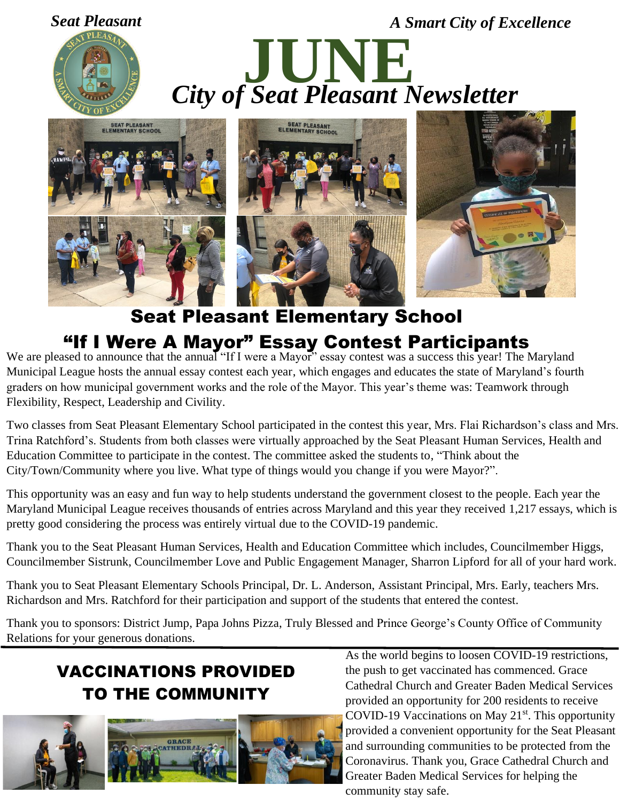



## Seat Pleasant Elementary School "If I Were A Mayor" Essay Contest Participants

We are pleased to announce that the annual "If I were a Mayor" essay contest was a success this year! The Maryland Municipal League hosts the annual essay contest each year, which engages and educates the state of Maryland's fourth graders on how municipal government works and the role of the Mayor. This year's theme was: Teamwork through Flexibility, Respect, Leadership and Civility.

Two classes from Seat Pleasant Elementary School participated in the contest this year, Mrs. Flai Richardson's class and Mrs. Trina Ratchford's. Students from both classes were virtually approached by the Seat Pleasant Human Services, Health and Education Committee to participate in the contest. The committee asked the students to, "Think about the City/Town/Community where you live. What type of things would you change if you were Mayor?".

This opportunity was an easy and fun way to help students understand the government closest to the people. Each year the Maryland Municipal League receives thousands of entries across Maryland and this year they received 1,217 essays, which is pretty good considering the process was entirely virtual due to the COVID-19 pandemic.

Thank you to the Seat Pleasant Human Services, Health and Education Committee which includes, Councilmember Higgs, Councilmember Sistrunk, Councilmember Love and Public Engagement Manager, Sharron Lipford for all of your hard work.

Thank you to Seat Pleasant Elementary Schools Principal, Dr. L. Anderson, Assistant Principal, Mrs. Early, teachers Mrs. Richardson and Mrs. Ratchford for their participation and support of the students that entered the contest.

Thank you to sponsors: District Jump, Papa Johns Pizza, Truly Blessed and Prince George's County Office of Community Relations for your generous donations.

## VACCINATIONS PROVIDED TO THE COMMUNITY



As the world begins to loosen COVID-19 restrictions, the push to get vaccinated has commenced. Grace Cathedral Church and Greater Baden Medical Services provided an opportunity for 200 residents to receive COVID-19 Vaccinations on May  $21<sup>st</sup>$ . This opportunity provided a convenient opportunity for the Seat Pleasant and surrounding communities to be protected from the Coronavirus. Thank you, Grace Cathedral Church and Greater Baden Medical Services for helping the community stay safe.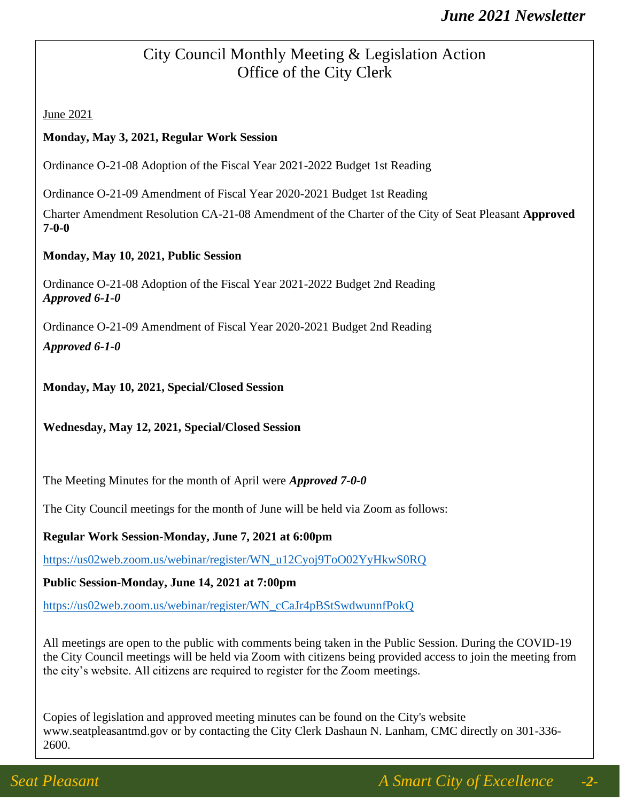#### City Council Monthly Meeting & Legislation Action Office of the City Clerk

June 2021

#### **Monday, May 3, 2021, Regular Work Session**

Ordinance O-21-08 Adoption of the Fiscal Year 2021-2022 Budget 1st Reading

Ordinance O-21-09 Amendment of Fiscal Year 2020-2021 Budget 1st Reading

Charter Amendment Resolution CA-21-08 Amendment of the Charter of the City of Seat Pleasant **Approved 7-0-0**

#### **Monday, May 10, 2021, Public Session**

Ordinance O-21-08 Adoption of the Fiscal Year 2021-2022 Budget 2nd Reading *Approved 6-1-0*

Ordinance O-21-09 Amendment of Fiscal Year 2020-2021 Budget 2nd Reading

*Approved 6-1-0*

**Monday, May 10, 2021, Special/Closed Session**

**Wednesday, May 12, 2021, Special/Closed Session** 

The Meeting Minutes for the month of April were *Approved 7-0-0*

The City Council meetings for the month of June will be held via Zoom as follows:

**Regular Work Session-Monday, June 7, 2021 at 6:00pm**

[https://us02web.zoom.us/webinar/register/WN\\_u12Cyoj9ToO02YyHkwS0RQ](https://us02web.zoom.us/webinar/register/WN_u12Cyoj9ToO02YyHkwS0RQ)

**Public Session-Monday, June 14, 2021 at 7:00pm**

[https://us02web.zoom.us/webinar/register/WN\\_cCaJr4pBStSwdwunnfPokQ](https://us02web.zoom.us/webinar/register/WN_cCaJr4pBStSwdwunnfPokQ)

All meetings are open to the public with comments being taken in the Public Session. During the COVID-19 the City Council meetings will be held via Zoom with citizens being provided access to join the meeting from the city's website. All citizens are required to register for the Zoom meetings.

Copies of legislation and approved meeting minutes can be found on the City's website www.seatpleasantmd.gov or by contacting the City Clerk Dashaun N. Lanham, CMC directly on 301-336- 2600.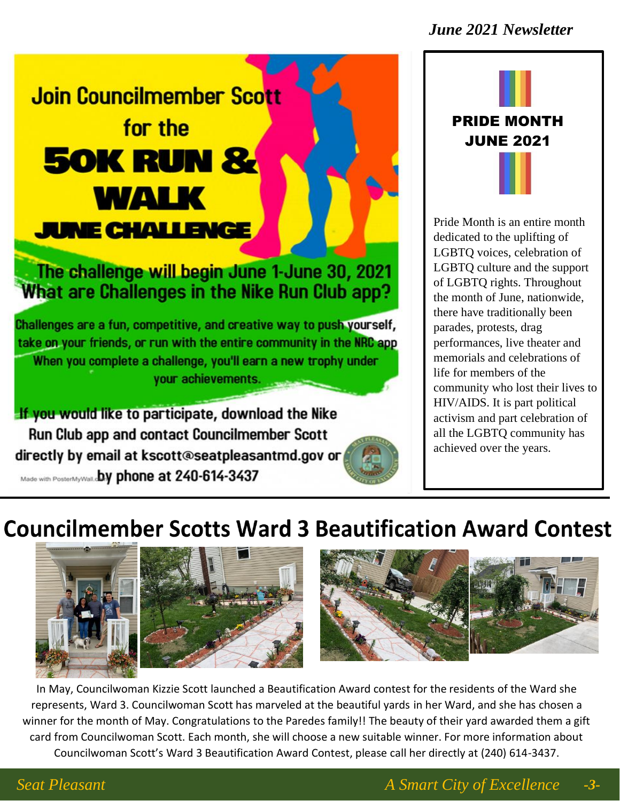#### *June 2021 Newsletter*

# **Join Councilmember Scott** for the **50K RUN & WALK JUNE CHALLENGE**

### The challenge will begin June 1-June 30, 2021 What are Challenges in the Nike Run Club app?

Challenges are a fun, competitive, and creative way to push yourself, take on your friends, or run with the entire community in the NRC app When you complete a challenge, you'll earn a new trophy under your achievements.

If you would like to participate, download the Nike Run Club app and contact Councilmember Scott directly by email at kscott@seatpleasantmd.gov or Made with PosterMyWall.cby phone at 240-614-3437



Pride Month is an entire month dedicated to the uplifting of LGBTQ voices, celebration of LGBTQ culture and the support of LGBTQ rights. Throughout the month of June, nationwide, there have traditionally been parades, protests, drag performances, live theater and memorials and celebrations of life for members of the community who lost their lives to HIV/AIDS. It is part political activism and part celebration of all the LGBTQ community has achieved over the years.

# **Councilmember Scotts Ward 3 Beautification Award Contest**



In May, Councilwoman Kizzie Scott launched a Beautification Award contest for the residents of the Ward she represents, Ward 3. Councilwoman Scott has marveled at the beautiful yards in her Ward, and she has chosen a winner for the month of May. Congratulations to the Paredes family!! The beauty of their yard awarded them a gift card from Councilwoman Scott. Each month, she will choose a new suitable winner. For more information about Councilwoman Scott's Ward 3 Beautification Award Contest, please call her directly at (240) 614-3437.